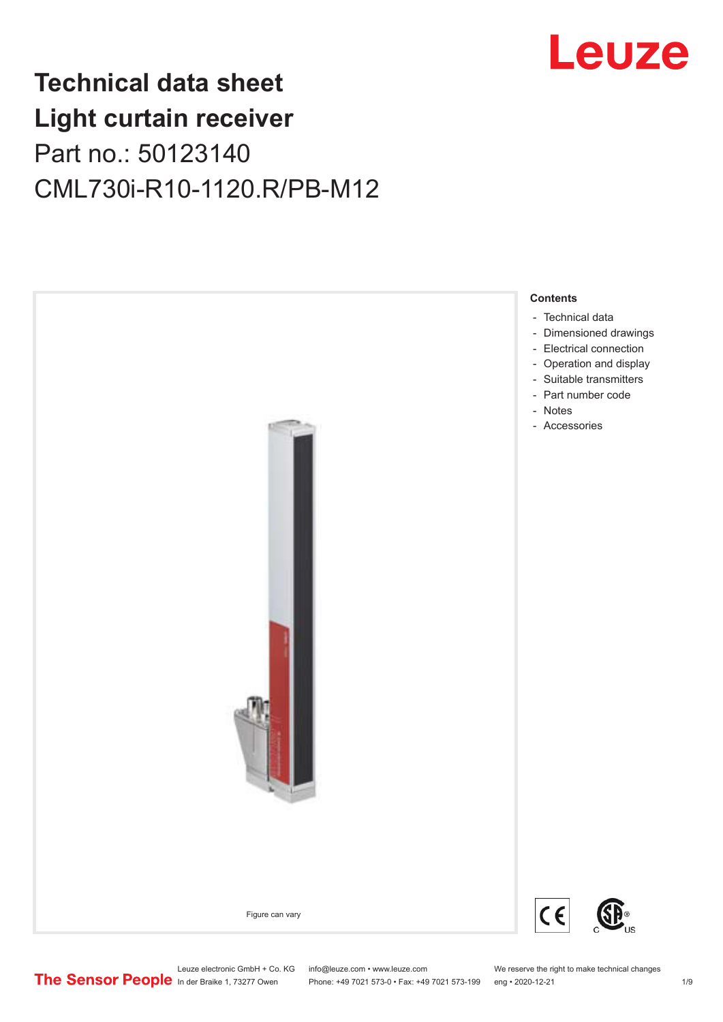# Leuze

# **Technical data sheet Light curtain receiver** Part no.: 50123140 CML730i-R10-1120.R/PB-M12



Leuze electronic GmbH + Co. KG info@leuze.com • www.leuze.com We reserve the right to make technical changes<br>
The Sensor People in der Braike 1, 73277 Owen Phone: +49 7021 573-0 • Fax: +49 7021 573-199 eng • 2020-12-21

Phone: +49 7021 573-0 • Fax: +49 7021 573-199 eng • 2020-12-21 1 2020-12-21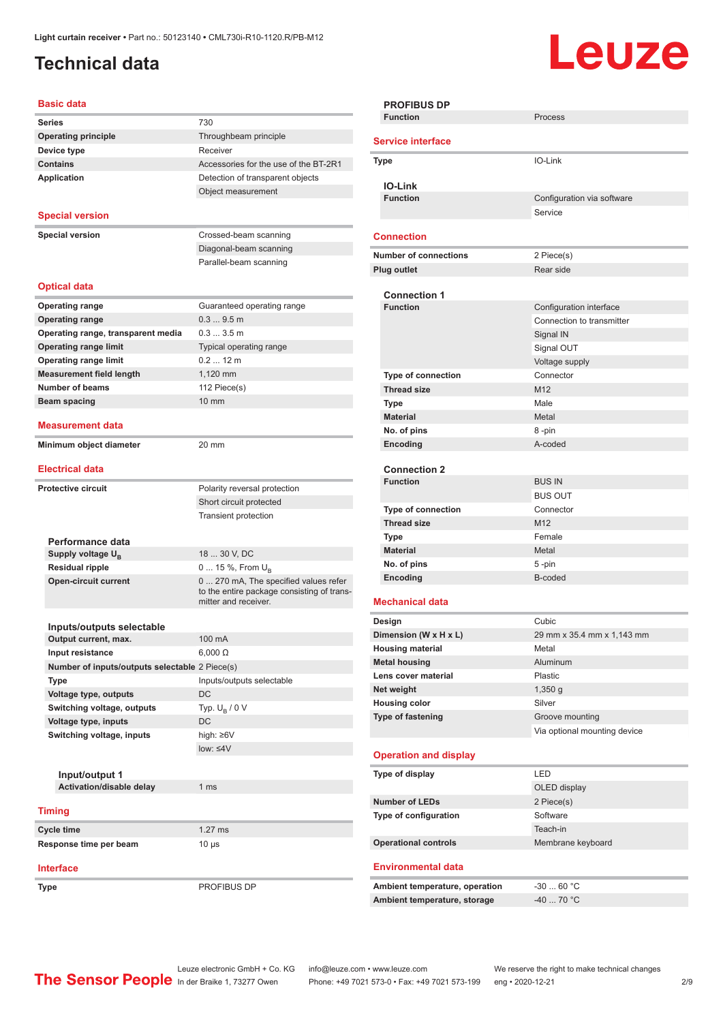# <span id="page-1-0"></span>**Technical data**

# Leuze

#### **Basic data**

| Daəlu uata                                     |                                            |
|------------------------------------------------|--------------------------------------------|
| <b>Series</b>                                  | 730                                        |
| <b>Operating principle</b>                     | Throughbeam principle                      |
| Device type                                    | Receiver                                   |
| <b>Contains</b>                                | Accessories for the use of the BT-2R1      |
| <b>Application</b>                             | Detection of transparent objects           |
|                                                | Object measurement                         |
|                                                |                                            |
| <b>Special version</b>                         |                                            |
| <b>Special version</b>                         | Crossed-beam scanning                      |
|                                                | Diagonal-beam scanning                     |
|                                                | Parallel-beam scanning                     |
|                                                |                                            |
| <b>Optical data</b>                            |                                            |
| <b>Operating range</b>                         | Guaranteed operating range                 |
| <b>Operating range</b>                         | 0.39.5m                                    |
| Operating range, transparent media             | 0.33.5m                                    |
| <b>Operating range limit</b>                   | Typical operating range                    |
| <b>Operating range limit</b>                   | $0.212 \text{ m}$                          |
| <b>Measurement field length</b>                | 1,120 mm                                   |
| <b>Number of beams</b>                         | 112 Piece(s)                               |
| Beam spacing                                   | $10 \text{ mm}$                            |
|                                                |                                            |
| <b>Measurement data</b>                        |                                            |
| Minimum object diameter                        | 20 mm                                      |
|                                                |                                            |
| <b>Electrical data</b>                         |                                            |
| <b>Protective circuit</b>                      |                                            |
|                                                | Polarity reversal protection               |
|                                                | Short circuit protected                    |
|                                                | <b>Transient protection</b>                |
| Performance data                               |                                            |
| Supply voltage U <sub>B</sub>                  | 18  30 V, DC                               |
| <b>Residual ripple</b>                         | 0  15 %, From U <sub>B</sub>               |
| <b>Open-circuit current</b>                    | 0  270 mA, The specified values refer      |
|                                                | to the entire package consisting of trans- |
|                                                | mitter and receiver.                       |
|                                                |                                            |
| Inputs/outputs selectable                      |                                            |
| Output current, max.                           | 100 mA                                     |
| Input resistance                               | $6,000 \Omega$                             |
| Number of inputs/outputs selectable 2 Piece(s) |                                            |
| Type                                           | Inputs/outputs selectable                  |
| Voltage type, outputs                          | DC                                         |
| Switching voltage, outputs                     | Typ. $U_{\rm B}$ / 0 V                     |
| Voltage type, inputs                           | DC                                         |
| Switching voltage, inputs                      | high: ≥6V                                  |
|                                                | $low: 4V$                                  |
|                                                |                                            |
| Input/output 1                                 |                                            |
| Activation/disable delay                       | 1 ms                                       |
| <b>Timing</b>                                  |                                            |
|                                                |                                            |
| Cycle time                                     | $1.27$ ms                                  |
| Response time per beam                         | $10 \mu s$                                 |
| <b>Interface</b>                               |                                            |
|                                                |                                            |
| Type                                           | PROFIBUS DP                                |

|        | <b>PROFIBUS DP</b><br><b>Function</b> | Process                      |  |  |  |
|--------|---------------------------------------|------------------------------|--|--|--|
|        | <b>Service interface</b>              |                              |  |  |  |
| Type   |                                       | IO-Link                      |  |  |  |
|        | <b>IO-Link</b>                        |                              |  |  |  |
|        | <b>Function</b>                       | Configuration via software   |  |  |  |
|        |                                       | Service                      |  |  |  |
|        |                                       |                              |  |  |  |
|        | <b>Connection</b>                     |                              |  |  |  |
|        | <b>Number of connections</b>          | 2 Piece(s)                   |  |  |  |
|        | <b>Plug outlet</b>                    | Rear side                    |  |  |  |
|        |                                       |                              |  |  |  |
|        | <b>Connection 1</b>                   |                              |  |  |  |
|        | <b>Function</b>                       | Configuration interface      |  |  |  |
|        |                                       | Connection to transmitter    |  |  |  |
|        |                                       | Signal IN                    |  |  |  |
|        |                                       | Signal OUT                   |  |  |  |
|        |                                       | Voltage supply               |  |  |  |
|        | <b>Type of connection</b>             | Connector                    |  |  |  |
|        | <b>Thread size</b>                    | M <sub>12</sub>              |  |  |  |
|        | <b>Type</b>                           | Male                         |  |  |  |
|        | <b>Material</b>                       | Metal                        |  |  |  |
|        | No. of pins                           | 8-pin                        |  |  |  |
|        | Encoding                              | A-coded                      |  |  |  |
|        |                                       |                              |  |  |  |
|        | <b>Connection 2</b>                   |                              |  |  |  |
|        | <b>Function</b>                       | <b>BUS IN</b>                |  |  |  |
|        |                                       | <b>BUS OUT</b>               |  |  |  |
|        | <b>Type of connection</b>             | Connector                    |  |  |  |
|        | <b>Thread size</b>                    | M <sub>12</sub>              |  |  |  |
|        | Type                                  | Female                       |  |  |  |
|        | <b>Material</b>                       | Metal                        |  |  |  |
|        | No. of pins                           | 5 -pin                       |  |  |  |
|        | Encoding                              | B-coded                      |  |  |  |
|        | <b>Mechanical data</b>                |                              |  |  |  |
| Design |                                       | Cubic                        |  |  |  |
|        | Dimension (W x H x L)                 | 29 mm x 35.4 mm x 1,143 mm   |  |  |  |
|        | <b>Housing material</b>               | Metal                        |  |  |  |
|        | <b>Metal housing</b>                  | Aluminum                     |  |  |  |
|        | Lens cover material                   | Plastic                      |  |  |  |
|        | Net weight                            | $1,350$ g                    |  |  |  |
|        | <b>Housing color</b>                  | Silver                       |  |  |  |
|        | Type of fastening                     | Groove mounting              |  |  |  |
|        |                                       | Via optional mounting device |  |  |  |
|        | <b>Operation and display</b>          |                              |  |  |  |
|        | Type of display                       | LED                          |  |  |  |
|        |                                       | OLED display                 |  |  |  |
|        | <b>Number of LEDs</b>                 | 2 Piece(s)                   |  |  |  |
|        | Type of configuration                 | Software                     |  |  |  |
|        |                                       | Teach-in                     |  |  |  |
|        | <b>Operational controls</b>           | Membrane keyboard            |  |  |  |
|        |                                       |                              |  |  |  |
|        | Environmental data                    |                              |  |  |  |
|        | Ambient temperature, operation        | $-3060 °C$                   |  |  |  |
|        | Ambient temperature, storage          | $-4070 °C$                   |  |  |  |
|        |                                       |                              |  |  |  |

Leuze electronic GmbH + Co. KG info@leuze.com • www.leuze.com We reserve the right to make technical changes In der Braike 1, 73277 Owen Phone: +49 7021 573-0 • Fax: +49 7021 573-199 eng • 2020-12-21 299 Phone: +49 7021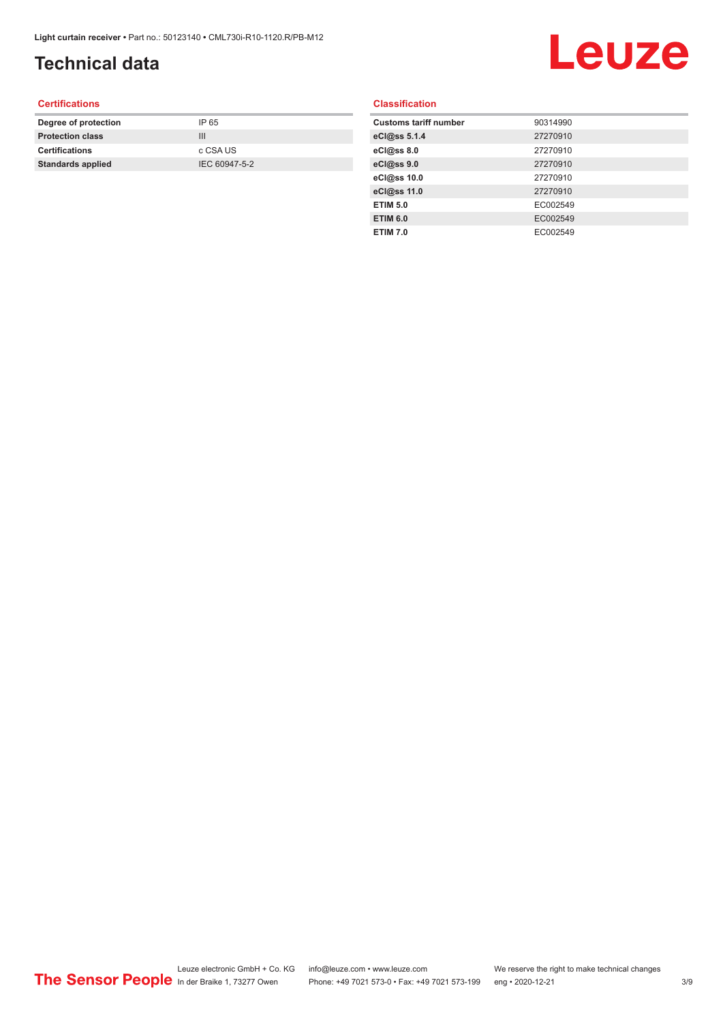# **Technical data**

# Leuze

#### **Certifications**

| Degree of protection     | IP 65         |
|--------------------------|---------------|
| <b>Protection class</b>  | Ш             |
| <b>Certifications</b>    | c CSA US      |
| <b>Standards applied</b> | IEC 60947-5-2 |
|                          |               |

#### **Classification**

| <b>Customs tariff number</b> | 90314990 |
|------------------------------|----------|
| eCl@ss 5.1.4                 | 27270910 |
| eCl@ss 8.0                   | 27270910 |
| eCl@ss 9.0                   | 27270910 |
| eCl@ss 10.0                  | 27270910 |
| eCl@ss 11.0                  | 27270910 |
| <b>ETIM 5.0</b>              | EC002549 |
| <b>ETIM 6.0</b>              | EC002549 |
| <b>ETIM 7.0</b>              | EC002549 |
|                              |          |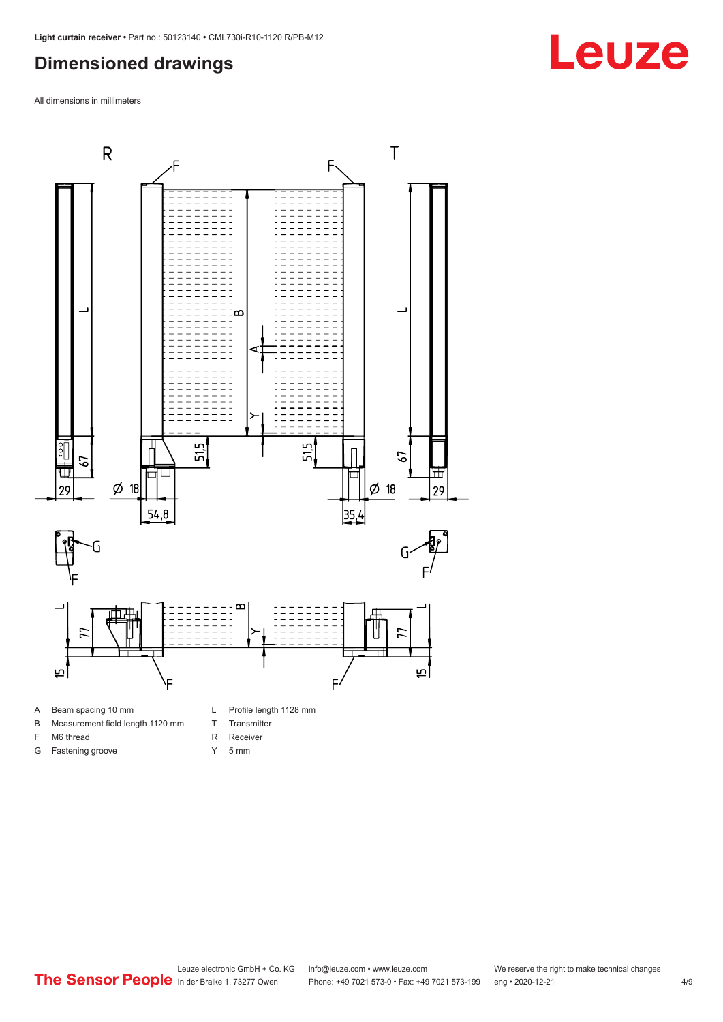#### <span id="page-3-0"></span>**Dimensioned drawings**

All dimensions in millimeters



- B Measurement field length 1120 mm
- F M6 thread

G Fastening groove

- R Receiver
	- Y 5 mm

T Transmitter

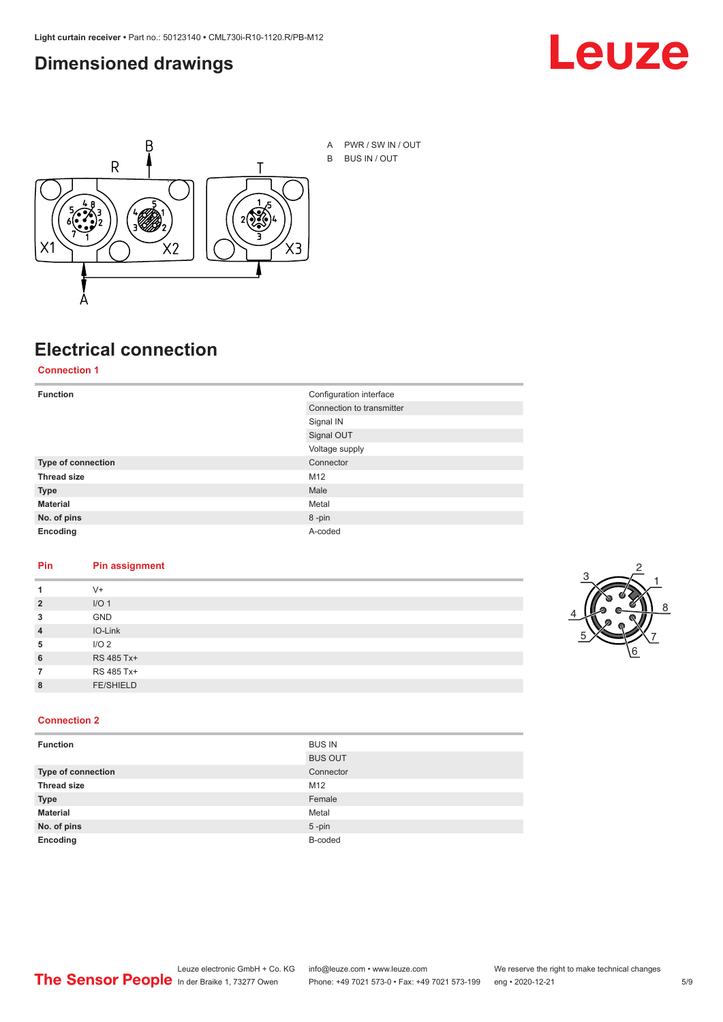#### <span id="page-4-0"></span>**Dimensioned drawings**





A PWR / SW IN / OUT B BUS IN / OUT

# **Electrical connection**

**Connection 1**

| <b>Function</b>    | Configuration interface   |  |
|--------------------|---------------------------|--|
|                    | Connection to transmitter |  |
|                    | Signal IN                 |  |
|                    | Signal OUT                |  |
|                    | Voltage supply            |  |
| Type of connection | Connector                 |  |
| <b>Thread size</b> | M12                       |  |
| <b>Type</b>        | Male                      |  |
| <b>Material</b>    | Metal                     |  |
| No. of pins        | 8-pin                     |  |
| Encoding           | A-coded                   |  |

#### **Pin Pin assignment**

|                | $V +$            |  |  |
|----------------|------------------|--|--|
| $\overline{2}$ | I/O <sub>1</sub> |  |  |
| 3              | <b>GND</b>       |  |  |
| $\overline{4}$ | IO-Link          |  |  |
| 5              | I/O <sub>2</sub> |  |  |
| 6              | RS 485 Tx+       |  |  |
|                | RS 485 Tx+       |  |  |
| 8              | <b>FE/SHIELD</b> |  |  |
|                |                  |  |  |



#### **Connection 2**

| <b>Function</b>    | <b>BUS IN</b>  |
|--------------------|----------------|
|                    | <b>BUS OUT</b> |
| Type of connection | Connector      |
| <b>Thread size</b> | M12            |
| <b>Type</b>        | Female         |
| <b>Material</b>    | Metal          |
| No. of pins        | $5$ -pin       |
| Encoding           | B-coded        |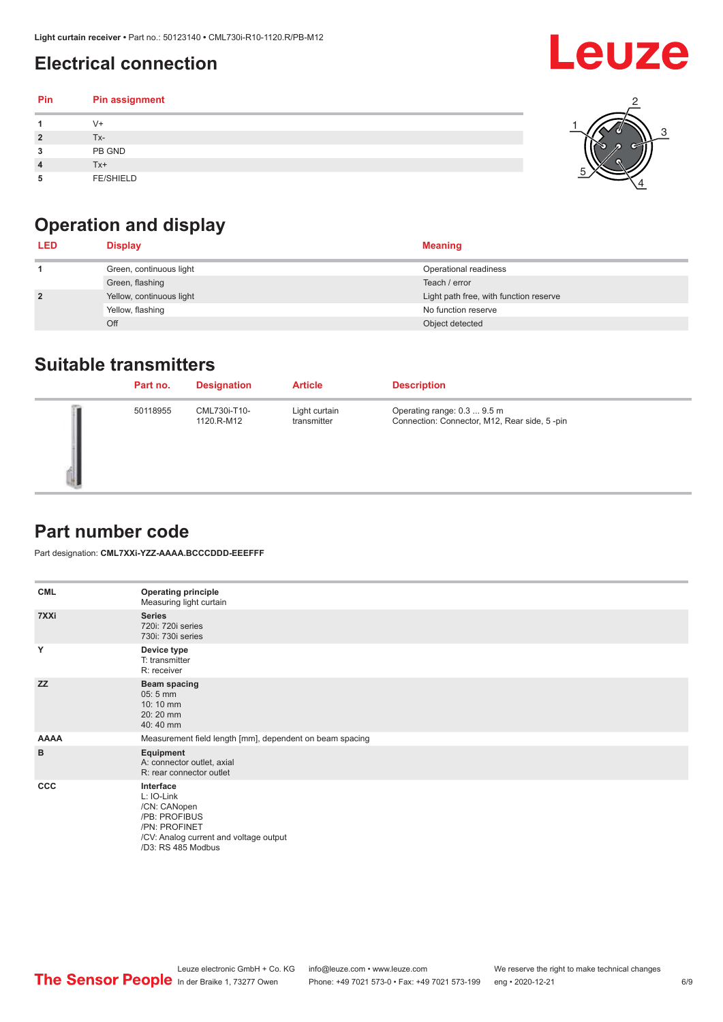### <span id="page-5-0"></span>**Electrical connection**

| Pin | Pin assignment   |  |
|-----|------------------|--|
|     | $V +$            |  |
| ຳ   | Tx-              |  |
| 3   | PB GND           |  |
|     | $Tx+$            |  |
| 5   | <b>FE/SHIELD</b> |  |

### **Operation and display**

| <b>LED</b>     | <b>Display</b>           | <b>Meaning</b>                         |
|----------------|--------------------------|----------------------------------------|
|                | Green, continuous light  | Operational readiness                  |
|                | Green, flashing          | Teach / error                          |
| $\overline{2}$ | Yellow, continuous light | Light path free, with function reserve |
|                | Yellow, flashing         | No function reserve                    |
|                | Off                      | Object detected                        |

#### **Suitable transmitters**

| Part no. | <b>Designation</b>         | <b>Article</b>               | <b>Description</b>                                                          |
|----------|----------------------------|------------------------------|-----------------------------------------------------------------------------|
| 50118955 | CML730i-T10-<br>1120.R-M12 | Light curtain<br>transmitter | Operating range: 0.3  9.5 m<br>Connection: Connector, M12, Rear side, 5-pin |

#### **Part number code**

Part designation: **CML7XXi-YZZ-AAAA.BCCCDDD-EEEFFF**

| <b>CML</b>  | <b>Operating principle</b><br>Measuring light curtain                                                                                     |  |  |
|-------------|-------------------------------------------------------------------------------------------------------------------------------------------|--|--|
| 7XXi        | <b>Series</b><br>720i: 720i series<br>730i: 730i series                                                                                   |  |  |
| Y           | Device type<br>T: transmitter<br>R: receiver                                                                                              |  |  |
| <b>ZZ</b>   | <b>Beam spacing</b><br>$05:5$ mm<br>10:10 mm<br>20:20 mm<br>40:40 mm                                                                      |  |  |
| <b>AAAA</b> | Measurement field length [mm], dependent on beam spacing                                                                                  |  |  |
| B           | Equipment<br>A: connector outlet, axial<br>R: rear connector outlet                                                                       |  |  |
| <b>CCC</b>  | Interface<br>L: IO-Link<br>/CN: CANopen<br>/PB: PROFIBUS<br>/PN: PROFINET<br>/CV: Analog current and voltage output<br>/D3: RS 485 Modbus |  |  |

**Leuze**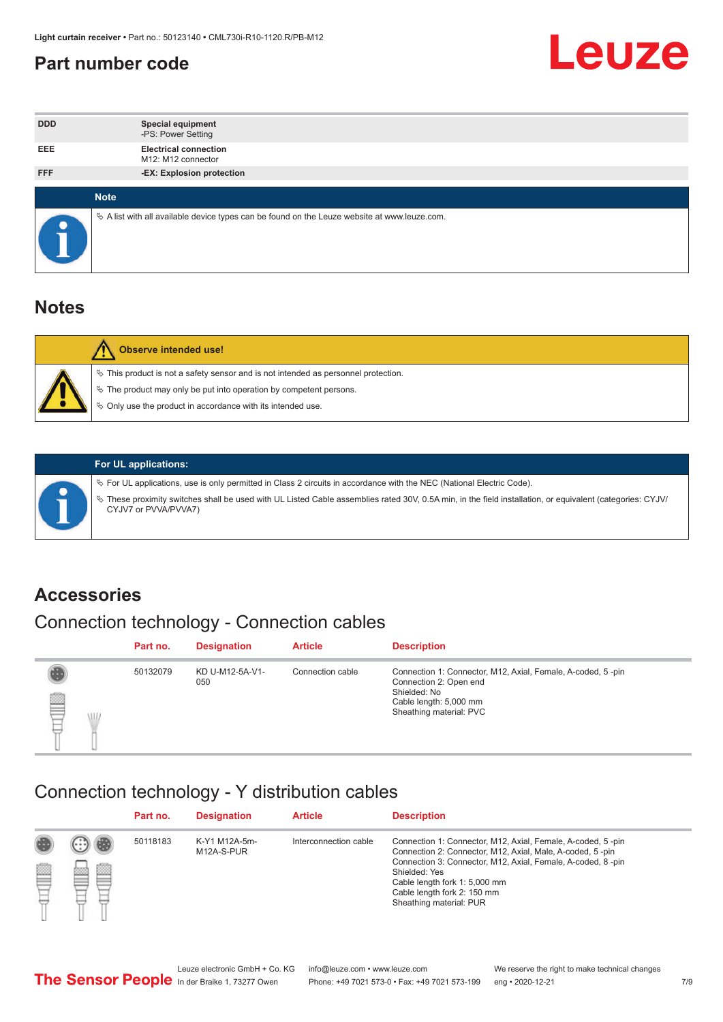#### <span id="page-6-0"></span>**Part number code**



| <b>DDD</b>  | <b>Special equipment</b><br>-PS: Power Setting                                                  |
|-------------|-------------------------------------------------------------------------------------------------|
| <b>EEE</b>  | <b>Electrical connection</b><br>M12: M12 connector                                              |
| <b>FFF</b>  | -EX: Explosion protection                                                                       |
|             |                                                                                                 |
| <b>Note</b> |                                                                                                 |
|             | $\&$ A list with all available device types can be found on the Leuze website at www.leuze.com. |

#### **Notes**

| Observe intended use!                                                                                                                                                                                                            |
|----------------------------------------------------------------------------------------------------------------------------------------------------------------------------------------------------------------------------------|
| $\%$ This product is not a safety sensor and is not intended as personnel protection.<br>$\%$ The product may only be put into operation by competent persons.<br>$\%$ Only use the product in accordance with its intended use. |
|                                                                                                                                                                                                                                  |



#### **For UL applications:**

ª For UL applications, use is only permitted in Class 2 circuits in accordance with the NEC (National Electric Code). ª These proximity switches shall be used with UL Listed Cable assemblies rated 30V, 0.5A min, in the field installation, or equivalent (categories: CYJV/ CYJV7 or PVVA/PVVA7)

#### **Accessories**

### Connection technology - Connection cables

|        | Part no. | <b>Designation</b>     | <b>Article</b>   | <b>Description</b>                                                                                                                                         |
|--------|----------|------------------------|------------------|------------------------------------------------------------------------------------------------------------------------------------------------------------|
| 2<br>W | 50132079 | KD U-M12-5A-V1-<br>050 | Connection cable | Connection 1: Connector, M12, Axial, Female, A-coded, 5-pin<br>Connection 2: Open end<br>Shielded: No<br>Cable length: 5,000 mm<br>Sheathing material: PVC |

#### Connection technology - Y distribution cables

|   |   | Part no. | <b>Designation</b>          | <b>Article</b>        | <b>Description</b>                                                                                                                                                                                                                                                                                  |
|---|---|----------|-----------------------------|-----------------------|-----------------------------------------------------------------------------------------------------------------------------------------------------------------------------------------------------------------------------------------------------------------------------------------------------|
| Ø | ø | 50118183 | K-Y1 M12A-5m-<br>M12A-S-PUR | Interconnection cable | Connection 1: Connector, M12, Axial, Female, A-coded, 5-pin<br>Connection 2: Connector, M12, Axial, Male, A-coded, 5-pin<br>Connection 3: Connector, M12, Axial, Female, A-coded, 8-pin<br>Shielded: Yes<br>Cable length fork 1: 5,000 mm<br>Cable length fork 2: 150 mm<br>Sheathing material: PUR |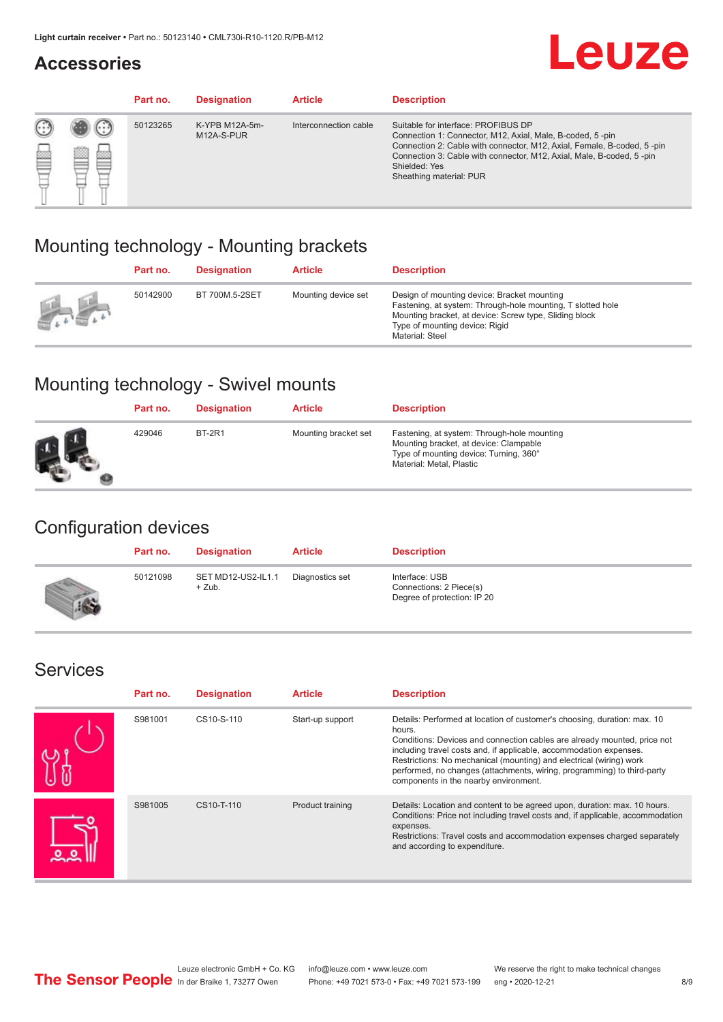#### **Accessories**

# **Leuze**

|   |                  | Part no. | <b>Designation</b>           | <b>Article</b>        | <b>Description</b>                                                                                                                                                                                                                                                                             |
|---|------------------|----------|------------------------------|-----------------------|------------------------------------------------------------------------------------------------------------------------------------------------------------------------------------------------------------------------------------------------------------------------------------------------|
| œ | œ<br><b>COLL</b> | 50123265 | K-YPB M12A-5m-<br>M12A-S-PUR | Interconnection cable | Suitable for interface: PROFIBUS DP<br>Connection 1: Connector, M12, Axial, Male, B-coded, 5-pin<br>Connection 2: Cable with connector, M12, Axial, Female, B-coded, 5-pin<br>Connection 3: Cable with connector, M12, Axial, Male, B-coded, 5-pin<br>Shielded: Yes<br>Sheathing material: PUR |

#### Mounting technology - Mounting brackets

|               | Part no. | <b>Designation</b> | <b>Article</b>      | <b>Description</b>                                                                                                                                                                                                        |
|---------------|----------|--------------------|---------------------|---------------------------------------------------------------------------------------------------------------------------------------------------------------------------------------------------------------------------|
| $\frac{1}{2}$ | 50142900 | BT 700M.5-2SET     | Mounting device set | Design of mounting device: Bracket mounting<br>Fastening, at system: Through-hole mounting, T slotted hole<br>Mounting bracket, at device: Screw type, Sliding block<br>Type of mounting device: Rigid<br>Material: Steel |

### Mounting technology - Swivel mounts

| Part no. | <b>Designation</b> | <b>Article</b>       | <b>Description</b>                                                                                                                                          |
|----------|--------------------|----------------------|-------------------------------------------------------------------------------------------------------------------------------------------------------------|
| 429046   | <b>BT-2R1</b>      | Mounting bracket set | Fastening, at system: Through-hole mounting<br>Mounting bracket, at device: Clampable<br>Type of mounting device: Turning, 360°<br>Material: Metal, Plastic |

#### Configuration devices

| Part no. | <b>Designation</b>             | <b>Article</b>  | <b>Description</b>                                                       |
|----------|--------------------------------|-----------------|--------------------------------------------------------------------------|
| 50121098 | SET MD12-US2-IL1.1<br>$+$ Zub. | Diagnostics set | Interface: USB<br>Connections: 2 Piece(s)<br>Degree of protection: IP 20 |

#### Services

| Part no. | <b>Designation</b> | <b>Article</b>   | <b>Description</b>                                                                                                                                                                                                                                                                                                                                                                                                              |
|----------|--------------------|------------------|---------------------------------------------------------------------------------------------------------------------------------------------------------------------------------------------------------------------------------------------------------------------------------------------------------------------------------------------------------------------------------------------------------------------------------|
| S981001  | CS10-S-110         | Start-up support | Details: Performed at location of customer's choosing, duration: max. 10<br>hours.<br>Conditions: Devices and connection cables are already mounted, price not<br>including travel costs and, if applicable, accommodation expenses.<br>Restrictions: No mechanical (mounting) and electrical (wiring) work<br>performed, no changes (attachments, wiring, programming) to third-party<br>components in the nearby environment. |
| S981005  | CS10-T-110         | Product training | Details: Location and content to be agreed upon, duration: max. 10 hours.<br>Conditions: Price not including travel costs and, if applicable, accommodation<br>expenses.<br>Restrictions: Travel costs and accommodation expenses charged separately<br>and according to expenditure.                                                                                                                                           |